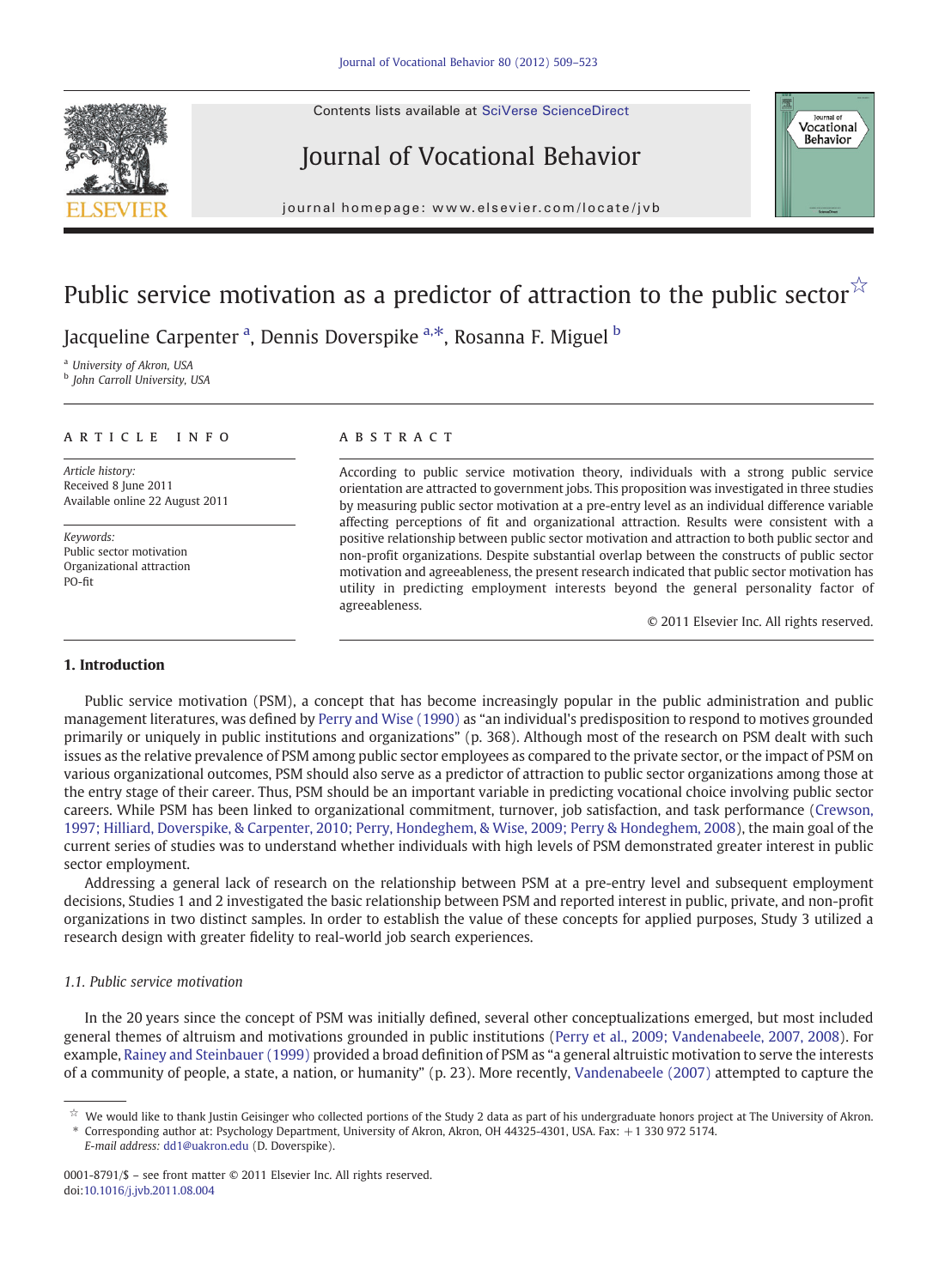Contents lists available at SciVerse ScienceDirect



# Journal of Vocational Behavior



j o u r n a g e p a g e  $\mathcal{L}$  ev i e r. c om  $\mathcal{L}$  i e  $\mathcal{L}$ 

# Public service motivation as a predictor of attraction to the public sector $\tilde{\lambda}$

Jacqueline Carpenter <sup>a</sup>, Dennis Doverspike <sup>a, $\ast$ </sup>, Rosanna F. Miguel  $^{\rm b}$ 

<sup>a</sup> University of Akron, USA

**b** John Carroll University, USA

#### article info abstract

Article history: Received 8 June 2011 Available online 22 August 2011

Keywords: Public sector motivation Organizational attraction PO-fit

According to public service motivation theory, individuals with a strong public service orientation are attracted to government jobs. This proposition was investigated in three studies by measuring public sector motivation at a pre-entry level as an individual difference variable affecting perceptions of fit and organizational attraction. Results were consistent with a positive relationship between public sector motivation and attraction to both public sector and non-profit organizations. Despite substantial overlap between the constructs of public sector motivation and agreeableness, the present research indicated that public sector motivation has utility in predicting employment interests beyond the general personality factor of agreeableness.

© 2011 Elsevier Inc. All rights reserved.

### 1. Introduction

Public service motivation (PSM), a concept that has become increasingly popular in the public administration and public management literatures, was defined by [Perry and Wise \(1990\)](#page--1-0) as "an individual's predisposition to respond to motives grounded primarily or uniquely in public institutions and organizations" (p. 368). Although most of the research on PSM dealt with such issues as the relative prevalence of PSM among public sector employees as compared to the private sector, or the impact of PSM on various organizational outcomes, PSM should also serve as a predictor of attraction to public sector organizations among those at the entry stage of their career. Thus, PSM should be an important variable in predicting vocational choice involving public sector careers. While PSM has been linked to organizational commitment, turnover, job satisfaction, and task performance ([Crewson,](#page--1-0) [1997; Hilliard, Doverspike, & Carpenter, 2010; Perry, Hondeghem, & Wise, 2009; Perry & Hondeghem, 2008\)](#page--1-0), the main goal of the current series of studies was to understand whether individuals with high levels of PSM demonstrated greater interest in public sector employment.

Addressing a general lack of research on the relationship between PSM at a pre-entry level and subsequent employment decisions, Studies 1 and 2 investigated the basic relationship between PSM and reported interest in public, private, and non-profit organizations in two distinct samples. In order to establish the value of these concepts for applied purposes, Study 3 utilized a research design with greater fidelity to real-world job search experiences.

#### 1.1. Public service motivation

In the 20 years since the concept of PSM was initially defined, several other conceptualizations emerged, but most included general themes of altruism and motivations grounded in public institutions ([Perry et al., 2009; Vandenabeele, 2007, 2008\)](#page--1-0). For example, [Rainey and Steinbauer \(1999\)](#page--1-0) provided a broad definition of PSM as "a general altruistic motivation to serve the interests of a community of people, a state, a nation, or humanity" (p. 23). More recently, [Vandenabeele \(2007\)](#page--1-0) attempted to capture the

E-mail address: [dd1@uakron.edu](mailto:dd1@uakron.edu) (D. Doverspike).

 $\dot{\mathbb{X}}$  We would like to thank Justin Geisinger who collected portions of the Study 2 data as part of his undergraduate honors project at The University of Akron. ⁎ Corresponding author at: Psychology Department, University of Akron, Akron, OH 44325-4301, USA. Fax: +1 330 972 5174.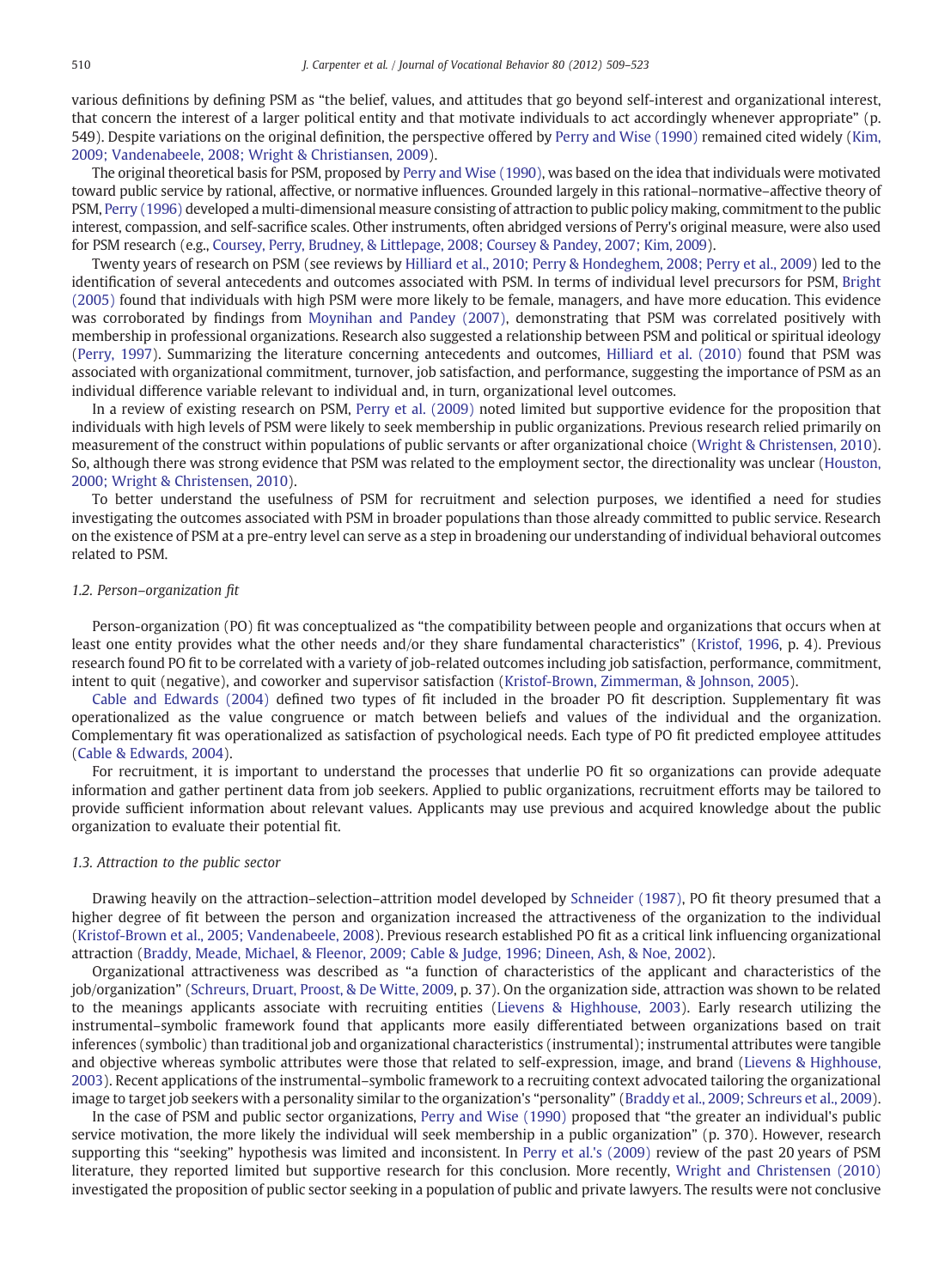various definitions by defining PSM as "the belief, values, and attitudes that go beyond self-interest and organizational interest, that concern the interest of a larger political entity and that motivate individuals to act accordingly whenever appropriate" (p. 549). Despite variations on the original definition, the perspective offered by [Perry and Wise \(1990\)](#page--1-0) remained cited widely ([Kim,](#page--1-0) [2009; Vandenabeele, 2008; Wright & Christiansen, 2009\)](#page--1-0).

The original theoretical basis for PSM, proposed by [Perry and Wise \(1990\)](#page--1-0), was based on the idea that individuals were motivated toward public service by rational, affective, or normative influences. Grounded largely in this rational–normative–affective theory of PSM, [Perry \(1996\)](#page--1-0) developed a multi-dimensional measure consisting of attraction to public policy making, commitment to the public interest, compassion, and self-sacrifice scales. Other instruments, often abridged versions of Perry's original measure, were also used for PSM research (e.g., [Coursey, Perry, Brudney, & Littlepage, 2008; Coursey & Pandey, 2007; Kim, 2009](#page--1-0)).

Twenty years of research on PSM (see reviews by [Hilliard et al., 2010; Perry & Hondeghem, 2008; Perry et al., 2009\)](#page--1-0) led to the identification of several antecedents and outcomes associated with PSM. In terms of individual level precursors for PSM, [Bright](#page--1-0) [\(2005\)](#page--1-0) found that individuals with high PSM were more likely to be female, managers, and have more education. This evidence was corroborated by findings from [Moynihan and Pandey \(2007\)](#page--1-0), demonstrating that PSM was correlated positively with membership in professional organizations. Research also suggested a relationship between PSM and political or spiritual ideology ([Perry, 1997\)](#page--1-0). Summarizing the literature concerning antecedents and outcomes, [Hilliard et al. \(2010\)](#page--1-0) found that PSM was associated with organizational commitment, turnover, job satisfaction, and performance, suggesting the importance of PSM as an individual difference variable relevant to individual and, in turn, organizational level outcomes.

In a review of existing research on PSM, [Perry et al. \(2009\)](#page--1-0) noted limited but supportive evidence for the proposition that individuals with high levels of PSM were likely to seek membership in public organizations. Previous research relied primarily on measurement of the construct within populations of public servants or after organizational choice ([Wright & Christensen, 2010](#page--1-0)). So, although there was strong evidence that PSM was related to the employment sector, the directionality was unclear ([Houston,](#page--1-0) [2000; Wright & Christensen, 2010\)](#page--1-0).

To better understand the usefulness of PSM for recruitment and selection purposes, we identified a need for studies investigating the outcomes associated with PSM in broader populations than those already committed to public service. Research on the existence of PSM at a pre-entry level can serve as a step in broadening our understanding of individual behavioral outcomes related to PSM.

#### 1.2. Person–organization fit

Person-organization (PO) fit was conceptualized as "the compatibility between people and organizations that occurs when at least one entity provides what the other needs and/or they share fundamental characteristics" [\(Kristof, 1996,](#page--1-0) p. 4). Previous research found PO fit to be correlated with a variety of job-related outcomes including job satisfaction, performance, commitment, intent to quit (negative), and coworker and supervisor satisfaction ([Kristof-Brown, Zimmerman, & Johnson, 2005\)](#page--1-0).

[Cable and Edwards \(2004\)](#page--1-0) defined two types of fit included in the broader PO fit description. Supplementary fit was operationalized as the value congruence or match between beliefs and values of the individual and the organization. Complementary fit was operationalized as satisfaction of psychological needs. Each type of PO fit predicted employee attitudes ([Cable & Edwards, 2004\)](#page--1-0).

For recruitment, it is important to understand the processes that underlie PO fit so organizations can provide adequate information and gather pertinent data from job seekers. Applied to public organizations, recruitment efforts may be tailored to provide sufficient information about relevant values. Applicants may use previous and acquired knowledge about the public organization to evaluate their potential fit.

#### 1.3. Attraction to the public sector

Drawing heavily on the attraction–selection–attrition model developed by [Schneider \(1987\),](#page--1-0) PO fit theory presumed that a higher degree of fit between the person and organization increased the attractiveness of the organization to the individual ([Kristof-Brown et al., 2005; Vandenabeele, 2008\)](#page--1-0). Previous research established PO fit as a critical link influencing organizational attraction ([Braddy, Meade, Michael, & Fleenor, 2009; Cable & Judge, 1996; Dineen, Ash, & Noe, 2002\)](#page--1-0).

Organizational attractiveness was described as "a function of characteristics of the applicant and characteristics of the job/organization" [\(Schreurs, Druart, Proost, & De Witte, 2009](#page--1-0), p. 37). On the organization side, attraction was shown to be related to the meanings applicants associate with recruiting entities [\(Lievens & Highhouse, 2003](#page--1-0)). Early research utilizing the instrumental–symbolic framework found that applicants more easily differentiated between organizations based on trait inferences (symbolic) than traditional job and organizational characteristics (instrumental); instrumental attributes were tangible and objective whereas symbolic attributes were those that related to self-expression, image, and brand ([Lievens & Highhouse,](#page--1-0) [2003](#page--1-0)). Recent applications of the instrumental–symbolic framework to a recruiting context advocated tailoring the organizational image to target job seekers with a personality similar to the organization's "personality" [\(Braddy et al., 2009; Schreurs et al., 2009](#page--1-0)).

In the case of PSM and public sector organizations, [Perry and Wise \(1990\)](#page--1-0) proposed that "the greater an individual's public service motivation, the more likely the individual will seek membership in a public organization" (p. 370). However, research supporting this "seeking" hypothesis was limited and inconsistent. In [Perry et al.'s \(2009\)](#page--1-0) review of the past 20 years of PSM literature, they reported limited but supportive research for this conclusion. More recently, [Wright and Christensen \(2010\)](#page--1-0) investigated the proposition of public sector seeking in a population of public and private lawyers. The results were not conclusive